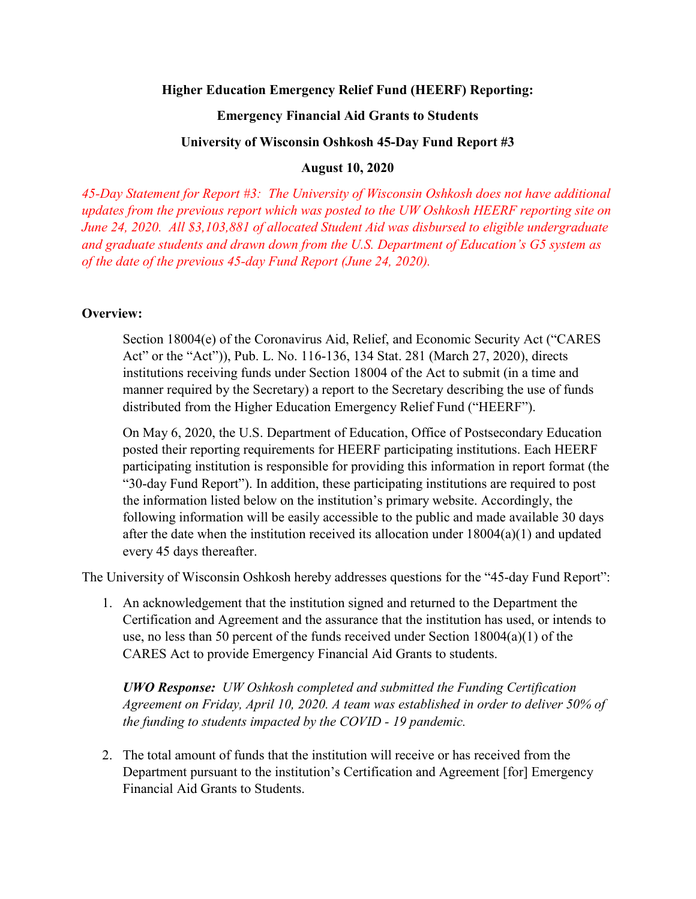### **Higher Education Emergency Relief Fund (HEERF) Reporting:**

### **Emergency Financial Aid Grants to Students**

### **University of Wisconsin Oshkosh 45-Day Fund Report #3**

## **August 10, 2020**

*45-Day Statement for Report #3: The University of Wisconsin Oshkosh does not have additional updates from the previous report which was posted to the UW Oshkosh HEERF reporting site on June 24, 2020. All \$3,103,881 of allocated Student Aid was disbursed to eligible undergraduate and graduate students and drawn down from the U.S. Department of Education's G5 system as of the date of the previous 45-day Fund Report (June 24, 2020).* 

# **Overview:**

Section 18004(e) of the Coronavirus Aid, Relief, and Economic Security Act ("CARES Act" or the "Act")), Pub. L. No. 116-136, 134 Stat. 281 (March 27, 2020), directs institutions receiving funds under Section 18004 of the Act to submit (in a time and manner required by the Secretary) a report to the Secretary describing the use of funds distributed from the Higher Education Emergency Relief Fund ("HEERF").

On May 6, 2020, the U.S. Department of Education, Office of Postsecondary Education posted their reporting requirements for HEERF participating institutions. Each HEERF participating institution is responsible for providing this information in report format (the "30-day Fund Report"). In addition, these participating institutions are required to post the information listed below on the institution's primary website. Accordingly, the following information will be easily accessible to the public and made available 30 days after the date when the institution received its allocation under  $18004(a)(1)$  and updated every 45 days thereafter.

The University of Wisconsin Oshkosh hereby addresses questions for the "45-day Fund Report":

1. An acknowledgement that the institution signed and returned to the Department the Certification and Agreement and the assurance that the institution has used, or intends to use, no less than 50 percent of the funds received under Section 18004(a)(1) of the CARES Act to provide Emergency Financial Aid Grants to students.

*UWO Response: UW Oshkosh completed and submitted the Funding Certification Agreement on Friday, April 10, 2020. A team was established in order to deliver 50% of the funding to students impacted by the COVID - 19 pandemic.*

2. The total amount of funds that the institution will receive or has received from the Department pursuant to the institution's Certification and Agreement [for] Emergency Financial Aid Grants to Students.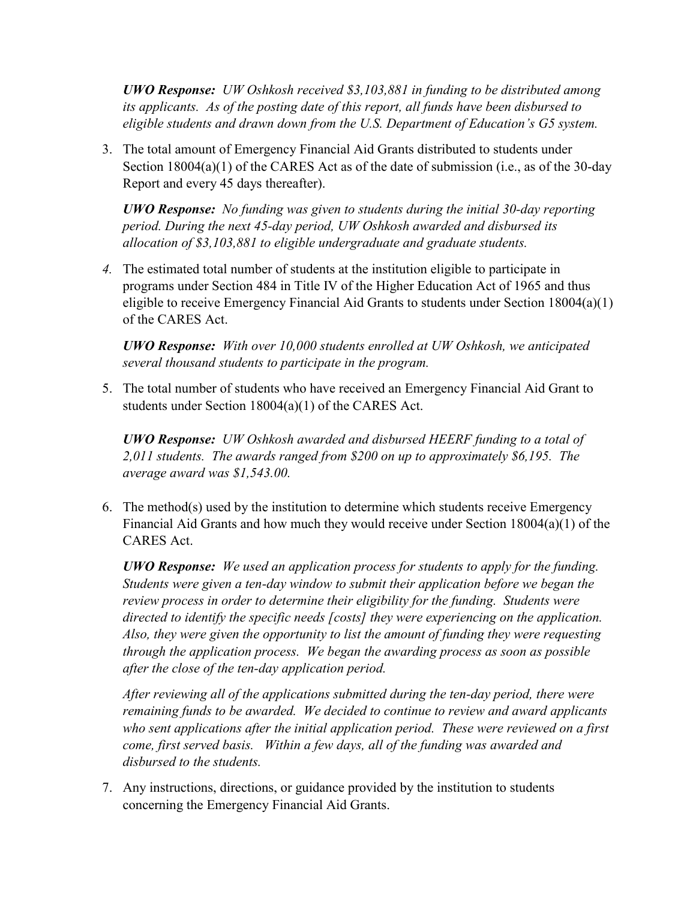*UWO Response: UW Oshkosh received \$3,103,881 in funding to be distributed among its applicants. As of the posting date of this report, all funds have been disbursed to eligible students and drawn down from the U.S. Department of Education's G5 system.* 

3. The total amount of Emergency Financial Aid Grants distributed to students under Section 18004(a)(1) of the CARES Act as of the date of submission (i.e., as of the 30-day Report and every 45 days thereafter).

*UWO Response: No funding was given to students during the initial 30-day reporting period. During the next 45-day period, UW Oshkosh awarded and disbursed its allocation of \$3,103,881 to eligible undergraduate and graduate students.*

*4.* The estimated total number of students at the institution eligible to participate in programs under Section 484 in Title IV of the Higher Education Act of 1965 and thus eligible to receive Emergency Financial Aid Grants to students under Section 18004(a)(1) of the CARES Act.

*UWO Response: With over 10,000 students enrolled at UW Oshkosh, we anticipated several thousand students to participate in the program.*

5. The total number of students who have received an Emergency Financial Aid Grant to students under Section 18004(a)(1) of the CARES Act.

*UWO Response: UW Oshkosh awarded and disbursed HEERF funding to a total of 2,011 students. The awards ranged from \$200 on up to approximately \$6,195. The average award was \$1,543.00.*

6. The method(s) used by the institution to determine which students receive Emergency Financial Aid Grants and how much they would receive under Section 18004(a)(1) of the CARES Act.

*UWO Response: We used an application process for students to apply for the funding. Students were given a ten-day window to submit their application before we began the review process in order to determine their eligibility for the funding. Students were directed to identify the specific needs [costs] they were experiencing on the application. Also, they were given the opportunity to list the amount of funding they were requesting through the application process. We began the awarding process as soon as possible after the close of the ten-day application period.*

*After reviewing all of the applications submitted during the ten-day period, there were remaining funds to be awarded. We decided to continue to review and award applicants who sent applications after the initial application period. These were reviewed on a first come, first served basis. Within a few days, all of the funding was awarded and disbursed to the students.*

7. Any instructions, directions, or guidance provided by the institution to students concerning the Emergency Financial Aid Grants.